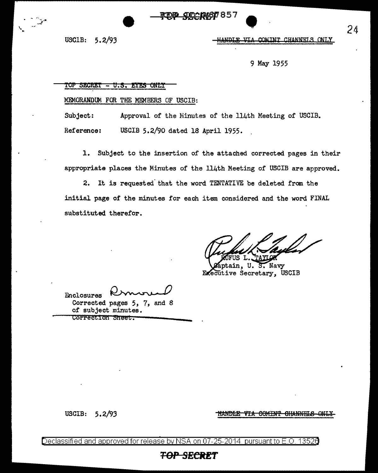*QDCDAGT 857* 

USCIB: 5. 2/93

 $\frac{1}{2}$ 

 $\bullet$ **HANDLE** 

9 May 1955

TOP SECRET - U.S. EYES ONLY

MEMORANDUM FOR THE MEMBERS OF USCIB:

Subject: Approval of the Ninutes of the 114th Meeting of USCIB. Reference: USCIB 5.2/90 dated 18 April 1955.

1. Subject to the insertion of the attached corrected pages in their appropriate places the Minutes of the 114th Meeting of USCIB are approved.

2. It is requested that the word TENTATIVE be deleted from the initial page of the minutes for each item considered and the word FINAL substituted therefor.

Enclosures Permonent<br>Permonent<br>pages 5, 7, and 8

Corrected pages 5, 7, and 8 of subject minutes. Correction Sheet.

USCIB: 5. 2/93

HANDLE VIA COMINT CHANNELS ONLY-

<u>Declassified and approved for release by NSA on 07-25-2014 pursuant to E.O. 13526</u>

## **TOP SECRET**

-